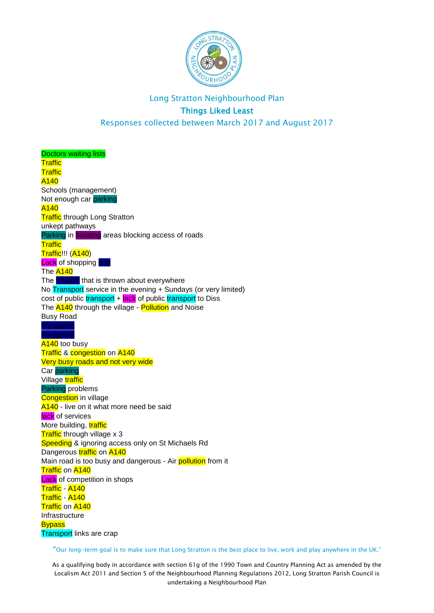

## Long Stratton Neighbourhood Plan Things Liked Least Responses collected between March 2017 and August 2017

Doctors waiting lists **Traffic Traffic** A140 Schools (management) Not enough car parking A140 **Traffic** through Long Stratton unkept pathways Parking in housing areas blocking access of roads **Traffic** Traffic!!! (A140) Lack of shopping The A<sub>140</sub> The rubbish that is thrown about everywhere No Transport service in the evening + Sundays (or very limited)  $cost$  of public transport +  $lack$  of public transport to Diss The **A140** through the village - **Pollution** and Noise Busy Road A140 too busy Traffic & congestion on A140 Very busy roads and not very wide Car parking Village traffic Parking problems **Congestion** in village A<sub>140</sub> - live on it what more need be said lack of services More building, traffic Traffic through village x 3 Speeding & ignoring access only on St Michaels Rd Dangerous traffic on A140 Main road is too busy and dangerous - Air pollution from it **Traffic on A140 Lack** of competition in shops Traffic - A140 Traffic - A140 **Traffic** on A140 Infrastructure **Bypass** Transport links are crap

"Our long-term goal is to make sure that Long Stratton is the best place to live, work and play anywhere in the UK."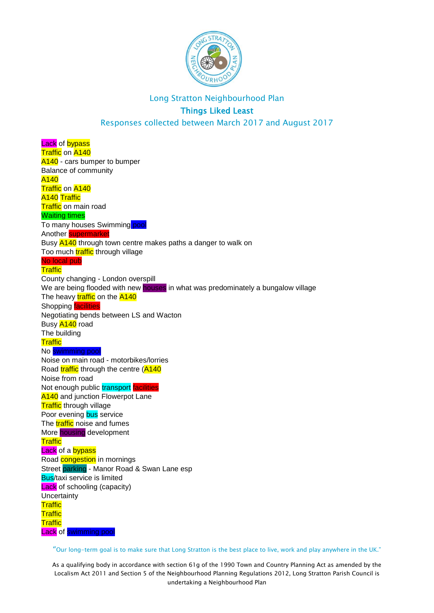

Responses collected between March 2017 and August 2017

Lack of bypass Traffic on A140 A<sub>140</sub> - cars bumper to bumper Balance of community A140 Traffic on A140 A140 Traffic **Traffic** on main road Waiting times To many houses Swimming pool Another supermarket Busy  $\frac{\mathsf{A140}}{\mathsf{B140}}$  through town centre makes paths a danger to walk on Too much **traffic** through village No local pub **Traffic** County changing - London overspill We are being flooded with new houses in what was predominately a bungalow village The heavy traffic on the A140 Shopping **facilities** Negotiating bends between LS and Wacton Busy A140 road The building **Traffic** No swimming pool Noise on main road - motorbikes/lorries Road traffic through the centre (A140 Noise from road Not enough public transport facilities **A140** and junction Flowerpot Lane **Traffic** through village Poor evening bus service The **traffic** noise and fumes More housing development **Traffic Lack** of a **bypass** Road **congestion** in mornings Street parking - Manor Road & Swan Lane esp Bus/taxi service is limited **Lack** of schooling (capacity) **Uncertainty Traffic Traffic Traffic** Lack of swimming pool

"Our long-term goal is to make sure that Long Stratton is the best place to live, work and play anywhere in the UK."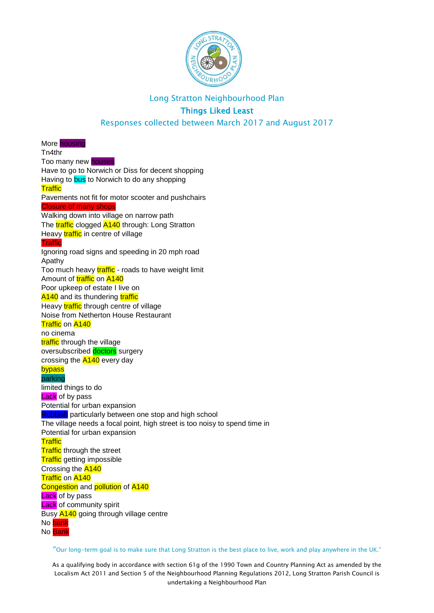

Responses collected between March 2017 and August 2017

More housing Tn4thr Too many new houses Have to go to Norwich or Diss for decent shopping Having to bus to Norwich to do any shopping **Traffic** Pavements not fit for motor scooter and pushchairs Closure of many shops Walking down into village on narrow path The **traffic** clogged **A140** through: Long Stratton Heavy traffic in centre of village **Traffic** Ignoring road signs and speeding in 20 mph road Apathy Too much heavy traffic - roads to have weight limit Amount of **traffic** on A140 Poor upkeep of estate I live on A140 and its thundering traffic Heavy **traffic** through centre of village Noise from Netherton House Restaurant Traffic on A140 no cinema traffic through the village oversubscribed doctors surgery crossing the **A140** every day bypass parking limited things to do Lack of by pass Potential for urban expansion **Rubbish** particularly between one stop and high school The village needs a focal point, high street is too noisy to spend time in Potential for urban expansion **Traffic Traffic** through the street **Traffic** getting impossible Crossing the A140 Traffic on A140 Congestion and pollution of A140 **Lack** of by pass **Lack** of community spirit Busy **A140** going through village centre No bank No Bank

"Our long-term goal is to make sure that Long Stratton is the best place to live, work and play anywhere in the UK."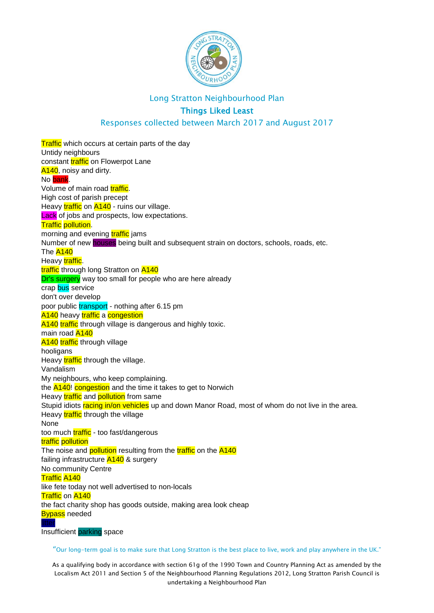

## Things Liked Least

#### Responses collected between March 2017 and August 2017

**Traffic** which occurs at certain parts of the day Untidy neighbours constant traffic on Flowerpot Lane A140, noisy and dirty. No bank Volume of main road **traffic**. High cost of parish precept Heavy *traffic* on **A140** - ruins our village. **Lack** of jobs and prospects, low expectations. Traffic pollution. morning and evening **traffic** jams Number of new **houses** being built and subsequent strain on doctors, schools, roads, etc. The A<sub>140</sub> Heavy traffic. traffic through long Stratton on A140 Dr's surgery way too small for people who are here already crap bus service don't over develop poor public transport - nothing after 6.15 pm A140 heavy traffic a congestion A140 traffic through village is dangerous and highly toxic. main road A140 A140 traffic through village hooligans Heavy traffic through the village. Vandalism My neighbours, who keep complaining. the **A140!** congestion and the time it takes to get to Norwich Heavy **traffic** and **pollution** from same Stupid idiots racing in/on vehicles up and down Manor Road, most of whom do not live in the area. Heavy traffic through the village None too much traffic - too fast/dangerous traffic pollution The noise and **pollution** resulting from the **traffic** on the A140 failing infrastructure **A140** & surgery No community Centre Traffic A140 like fete today not well advertised to non-locals **Traffic on A140** the fact charity shop has goods outside, making area look cheap **Bypass** needed Insufficient parking space

"Our long-term goal is to make sure that Long Stratton is the best place to live, work and play anywhere in the UK."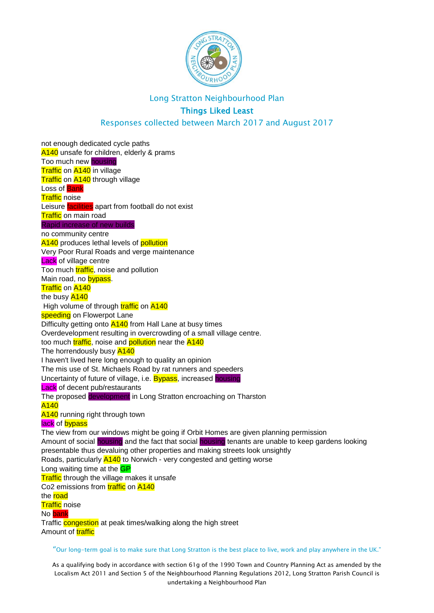

## Things Liked Least

#### Responses collected between March 2017 and August 2017

"Our long-term goal is to make sure that Long Stratton is the best place to live, work and play anywhere in the UK." not enough dedicated cycle paths A140 unsafe for children, elderly & prams Too much new housing Traffic on A140 in village **Traffic on A140** through village Loss of Bank **Traffic** noise Leisure facilities apart from football do not exist **Traffic** on main road Rapid increase of new builds no community centre A140 produces lethal levels of **pollution** Very Poor Rural Roads and verge maintenance **Lack** of village centre Too much **traffic**, noise and pollution Main road, no bypass. **Traffic on A140** the busy A140 High volume of through traffic on A140 speeding on Flowerpot Lane Difficulty getting onto **A140** from Hall Lane at busy times Overdevelopment resulting in overcrowding of a small village centre. too much traffic, noise and pollution near the A140 The horrendously busy A140 I haven't lived here long enough to quality an opinion The mis use of St. Michaels Road by rat runners and speeders Uncertainty of future of village, i.e. Bypass, increased housing **Lack** of decent pub/restaurants The proposed development in Long Stratton encroaching on Tharston A140 A140 running right through town lack of bypass The view from our windows might be going if Orbit Homes are given planning permission Amount of social housing and the fact that social housing tenants are unable to keep gardens looking presentable thus devaluing other properties and making streets look unsightly Roads, particularly A140 to Norwich - very congested and getting worse Long waiting time at the **GP Traffic** through the village makes it unsafe Co2 emissions from **traffic** on A140 the **road Traffic** noise No bank Traffic **congestion** at peak times/walking along the high street Amount of **traffic**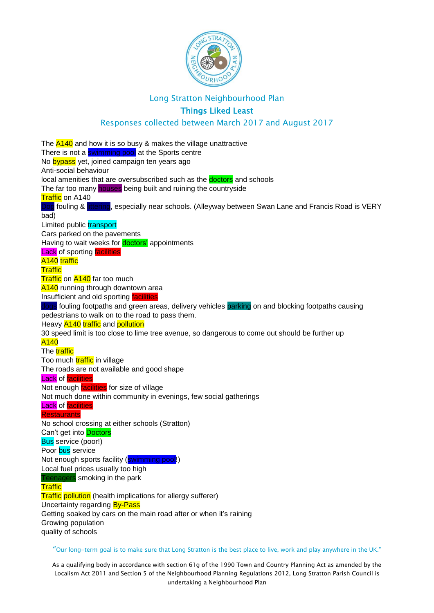

## Things Liked Least

#### Responses collected between March 2017 and August 2017

The  $\overline{A140}$  and how it is so busy & makes the village unattractive There is not a swimming pool at the Sports centre No bypass yet, joined campaign ten years ago Anti-social behaviour local amenities that are oversubscribed such as the **doctors** and schools The far too many houses being built and ruining the countryside **Traffic** on A140 Dog fouling & littering, especially near schools. (Alleyway between Swan Lane and Francis Road is VERY bad) Limited public transport Cars parked on the pavements Having to wait weeks for **doctors'** appointments Lack of sporting facilities A140 traffic **Traffic Traffic on A140 far too much** A140 running through downtown area Insufficient and old sporting **facilities** dogs fouling footpaths and green areas, delivery vehicles parking on and blocking footpaths causing pedestrians to walk on to the road to pass them. Heavy A140 traffic and pollution 30 speed limit is too close to lime tree avenue, so dangerous to come out should be further up A140 The traffic Too much traffic in village The roads are not available and good shape Lack of facilities Not enough **facilities** for size of village Not much done within community in evenings, few social gatherings **Lack** of facilities **Restaurants** No school crossing at either schools (Stratton) Can't get into Doctors Bus service (poor!) Poor bus service Not enough sports facility (swimming pool!) Local fuel prices usually too high Teenagers smoking in the park **Traffic Traffic pollution** (health implications for allergy sufferer) Uncertainty regarding **By-Pass** Getting soaked by cars on the main road after or when it's raining Growing population quality of schools

"Our long-term goal is to make sure that Long Stratton is the best place to live, work and play anywhere in the UK."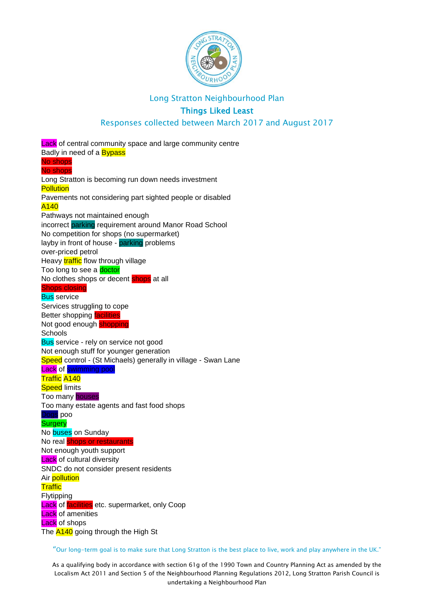

## Things Liked Least

#### Responses collected between March 2017 and August 2017

Lack of central community space and large community centre Badly in need of a **Bypass** No shops No shops Long Stratton is becoming run down needs investment **Pollution** Pavements not considering part sighted people or disabled A140 Pathways not maintained enough incorrect parking requirement around Manor Road School No competition for shops (no supermarket) layby in front of house - parking problems over-priced petrol Heavy **traffic** flow through village Too long to see a **doctor** No clothes shops or decent shops at all Shops closing **Bus** service Services struggling to cope **Better shopping facilities** Not good enough **shopping Schools Bus** service - rely on service not good Not enough stuff for younger generation Speed control - (St Michaels) generally in village - Swan Lane Lack of swimming pool Traffic A140 **Speed limits** Too many houses Too many estate agents and fast food shops Dogs poo **Surgery** No **buses** on Sunday No real shops or restaurants Not enough youth support **Lack** of cultural diversity SNDC do not consider present residents Air pollution **Traffic Flytipping Lack of facilities** etc. supermarket, only Coop **Lack** of amenities **Lack** of shops The **A140** going through the High St

"Our long-term goal is to make sure that Long Stratton is the best place to live, work and play anywhere in the UK."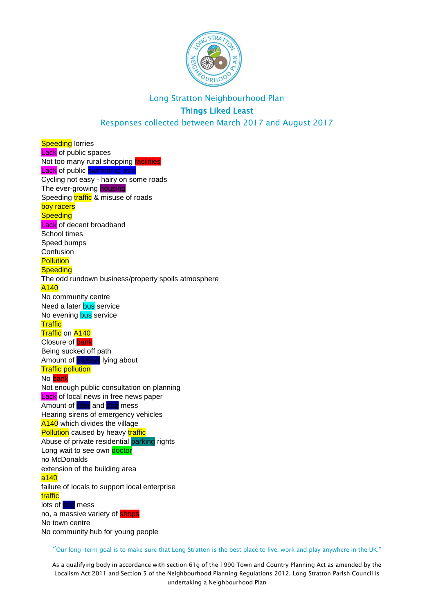

Responses collected between March 2017 and August 2017

**Speeding** lorries **Lack** of public spaces Not too many rural shopping facilities Lack of public swimming pool Cycling not easy - hairy on some roads The ever-growing housing Speeding **traffic** & misuse of roads boy racers **Speeding Lack** of decent broadband School times Speed bumps Confusion **Pollution Speeding** The odd rundown business/property spoils atmosphere A140 No community centre Need a later bus service No evening **bus** service **Traffic Traffic on A140** Closure of bank Being sucked off path Amount of rubbish lying about **Traffic** pollution No bank Not enough public consultation on planning **Lack** of local news in free news paper Amount of litter and dog mess Hearing sirens of emergency vehicles A<sub>140</sub> which divides the village **Pollution** caused by heavy traffic Abuse of private residential parking rights Long wait to see own doctor no McDonalds extension of the building area a140 failure of locals to support local enterprise traffic lots of dog mess no, a massive variety of **shops** No town centre No community hub for young people

"Our long-term goal is to make sure that Long Stratton is the best place to live, work and play anywhere in the UK."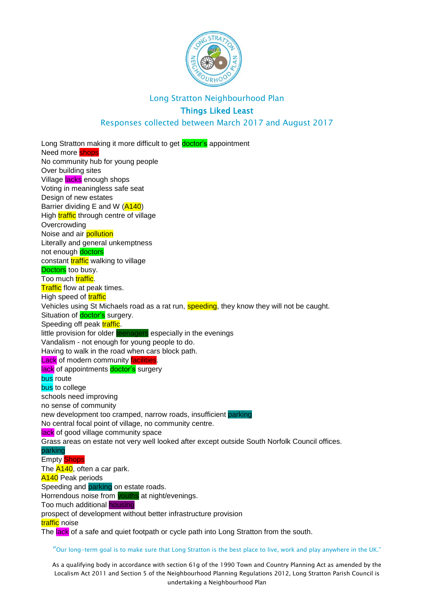

#### Responses collected between March 2017 and August 2017

Long Stratton making it more difficult to get **doctor's** appointment Need more shops No community hub for young people Over building sites Village **lacks** enough shops Voting in meaningless safe seat Design of new estates Barrier dividing E and W (A140) High traffic through centre of village **Overcrowding** Noise and air **pollution** Literally and general unkemptness not enough doctors constant **traffic** walking to village Doctors too busy. Too much traffic. **Traffic** flow at peak times. High speed of traffic Vehicles using St Michaels road as a rat run, speeding, they know they will not be caught. Situation of **doctor's** surgery. Speeding off peak traffic. little provision for older teenagers especially in the evenings Vandalism - not enough for young people to do. Having to walk in the road when cars block path. Lack of modern community facilities. lack of appointments doctor's surgery **bus** route bus to college schools need improving no sense of community new development too cramped, narrow roads, insufficient parking No central focal point of village, no community centre. lack of good village community space Grass areas on estate not very well looked after except outside South Norfolk Council offices. parking Empty Shops The **A140**, often a car park. **A140** Peak periods Speeding and **parking** on estate roads. Horrendous noise from youths at night/evenings. Too much additional housing prospect of development without better infrastructure provision traffic noise The lack of a safe and quiet footpath or cycle path into Long Stratton from the south.

"Our long-term goal is to make sure that Long Stratton is the best place to live, work and play anywhere in the UK."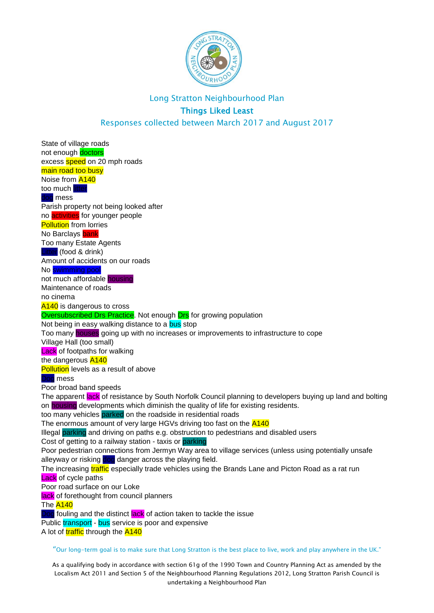

Responses collected between March 2017 and August 2017

"Our long-term goal is to make sure that Long Stratton is the best place to live, work and play anywhere in the UK." State of village roads not enough doctors excess **speed** on 20 mph roads main road too busy Noise from A140 too much litter dog mess Parish property not being looked after no activities for younger people **Pollution** from lorries No Barclays bank Too many Estate Agents Litter (food & drink) Amount of accidents on our roads No swimming pool not much affordable housing Maintenance of roads no cinema A<sub>140</sub> is dangerous to cross **Oversubscribed Drs Practice.** Not enough **Drs** for growing population Not being in easy walking distance to a bus stop Too many houses going up with no increases or improvements to infrastructure to cope Village Hall (too small) **Lack** of footpaths for walking the dangerous A140 **Pollution** levels as a result of above Dog mess Poor broad band speeds The apparent lack of resistance by South Norfolk Council planning to developers buying up land and bolting on housing developments which diminish the quality of life for existing residents. too many vehicles parked on the roadside in residential roads The enormous amount of very large HGVs driving too fast on the **A140** Illegal parking and driving on paths e.g. obstruction to pedestrians and disabled users Cost of getting to a railway station - taxis or parking Poor pedestrian connections from Jermyn Way area to village services (unless using potentially unsafe alleyway or risking dog danger across the playing field. The increasing **traffic** especially trade vehicles using the Brands Lane and Picton Road as a rat run **Lack** of cycle paths Poor road surface on our Loke lack of forethought from council planners The A<sub>140</sub> **Dog** fouling and the distinct **lack** of action taken to tackle the issue Public transport - bus service is poor and expensive A lot of traffic through the A140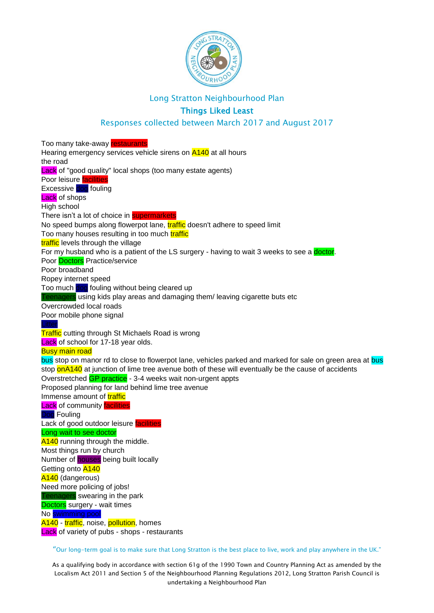

#### Things Liked Least

#### Responses collected between March 2017 and August 2017

Too many take-away restaurants Hearing emergency services vehicle sirens on **A140** at all hours the road Lack of "good quality" local shops (too many estate agents) Poor leisure **facilities** Excessive dog fouling Lack of shops High school There isn't a lot of choice in **supermarkets** No speed bumps along flowerpot lane, **traffic** doesn't adhere to speed limit Too many houses resulting in too much traffic traffic levels through the village For my husband who is a patient of the LS surgery - having to wait 3 weeks to see a doctor. Poor Doctors Practice/service Poor broadband Ropey internet speed Too much dog fouling without being cleared up Teenagers using kids play areas and damaging them/ leaving cigarette buts etc Overcrowded local roads Poor mobile phone signal **Litter Traffic** cutting through St Michaels Road is wrong Lack of school for 17-18 year olds. Busy main road bus stop on manor rd to close to flowerpot lane, vehicles parked and marked for sale on green area at bus stop onA140 at junction of lime tree avenue both of these will eventually be the cause of accidents Overstretched GP practice - 3-4 weeks wait non-urgent appts Proposed planning for land behind lime tree avenue Immense amount of **traffic Lack** of community **facilities** Dog Fouling Lack of good outdoor leisure facilities Long wait to see doctor A140 running through the middle. Most things run by church Number of houses being built locally Getting onto A140 A<sub>140</sub> (dangerous) Need more policing of jobs! Teenagers swearing in the park Doctors surgery - wait times No swimming pool A140 - traffic, noise, pollution, homes **Lack** of variety of pubs - shops - restaurants

"Our long-term goal is to make sure that Long Stratton is the best place to live, work and play anywhere in the UK."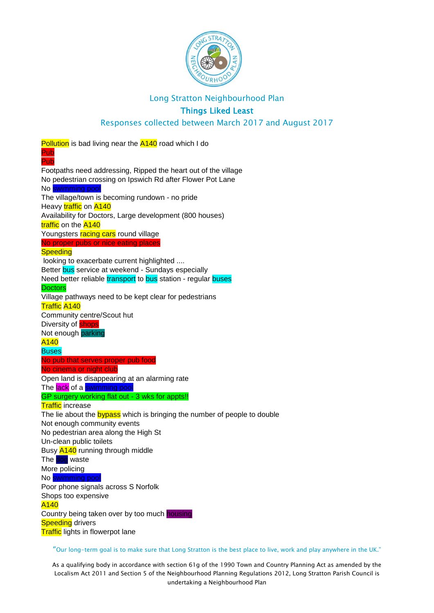

## Things Liked Least

#### Responses collected between March 2017 and August 2017

**Pollution** is bad living near the **A140** road which I do Pub Pub Footpaths need addressing, Ripped the heart out of the village No pedestrian crossing on Ipswich Rd after Flower Pot Lane No swimming pool The village/town is becoming rundown - no pride Heavy traffic on A140 Availability for Doctors, Large development (800 houses) traffic on the A140 Youngsters racing cars round village No proper pubs or nice eating places **Speeding** looking to exacerbate current highlighted .... Better bus service at weekend - Sundays especially Need better reliable transport to bus station - regular buses **Doctors** Village pathways need to be kept clear for pedestrians Traffic A140 Community centre/Scout hut Diversity of **shops** Not enough parking A140 **Buses** No pub that serves proper pub food No cinema or night club Open land is disappearing at an alarming rate The lack of a swimming pool GP surgery working flat out - 3 wks for appts!! **Traffic** increase The lie about the **bypass** which is bringing the number of people to double Not enough community events No pedestrian area along the High St Un-clean public toilets Busy A140 running through middle The dog waste More policing No swimming pool Poor phone signals across S Norfolk Shops too expensive A140 Country being taken over by too much housing **Speeding** drivers **Traffic** lights in flowerpot lane

"Our long-term goal is to make sure that Long Stratton is the best place to live, work and play anywhere in the UK."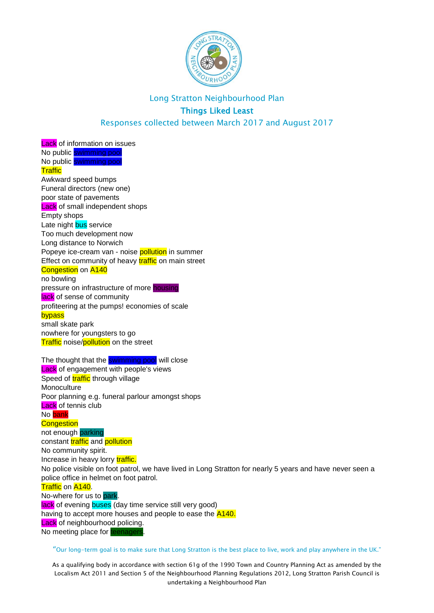

Responses collected between March 2017 and August 2017

**Lack** of information on issues No public swimming pool No public swimming pool **Traffic** Awkward speed bumps Funeral directors (new one) poor state of pavements **Lack** of small independent shops Empty shops Late night bus service Too much development now Long distance to Norwich Popeye ice-cream van - noise **pollution** in summer Effect on community of heavy **traffic** on main street **Congestion** on **A140** no bowling pressure on infrastructure of more housing lack of sense of community profiteering at the pumps! economies of scale bypass small skate park nowhere for youngsters to go Traffic noise/pollution on the street The thought that the **swimming pool** will close **Lack** of engagement with people's views Speed of **traffic** through village **Monoculture** Poor planning e.g. funeral parlour amongst shops **Lack** of tennis club No bank **Congestion** not enough parking constant traffic and pollution No community spirit. Increase in heavy lorry traffic. No police visible on foot patrol, we have lived in Long Stratton for nearly 5 years and have never seen a police office in helmet on foot patrol. Traffic on A140. No-where for us to park. lack of evening buses (day time service still very good) having to accept more houses and people to ease the  $A140$ . **Lack** of neighbourhood policing. No meeting place for teenagers.

"Our long-term goal is to make sure that Long Stratton is the best place to live, work and play anywhere in the UK."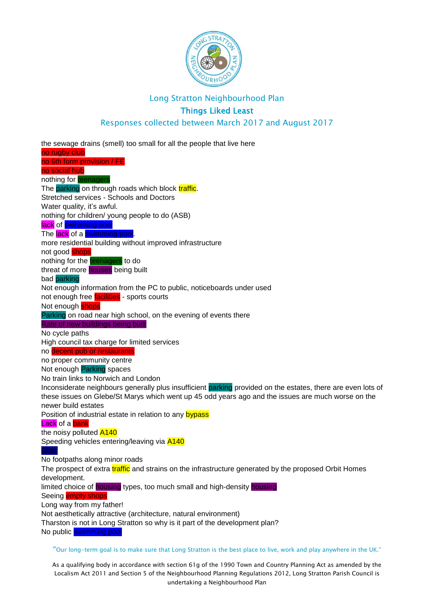

## Things Liked Least

#### Responses collected between March 2017 and August 2017

the sewage drains (smell) too small for all the people that live here no rugby club no 6th form provision / FE no social hub nothing for **teenagers** The parking on through roads which block traffic. Stretched services - Schools and Doctors Water quality, it's awful. nothing for children/ young people to do (ASB) lack of swimming pool The lack of a swimming pool. more residential building without improved infrastructure not good **shops** nothing for the teenagers to do threat of more houses being built bad parking Not enough information from the PC to public, noticeboards under used not enough free **facilities** - sports courts Not enough shops Parking on road near high school, on the evening of events there Rate of new buildings being built No cycle paths High council tax charge for limited services no decent pub or restaurants no proper community centre Not enough Parking spaces No train links to Norwich and London Inconsiderate neighbours generally plus insufficient parking provided on the estates, there are even lots of these issues on Glebe/St Marys which went up 45 odd years ago and the issues are much worse on the newer build estates Position of industrial estate in relation to any bypass Lack of a bank the noisy polluted **A140** Speeding vehicles entering/leaving via A140 No footpaths along minor roads The prospect of extra traffic and strains on the infrastructure generated by the proposed Orbit Homes development. limited choice of housing types, too much small and high-density housing Seeing **empty shops** Long way from my father! Not aesthetically attractive (architecture, natural environment) Tharston is not in Long Stratton so why is it part of the development plan? No public swimming pool

"Our long-term goal is to make sure that Long Stratton is the best place to live, work and play anywhere in the UK."